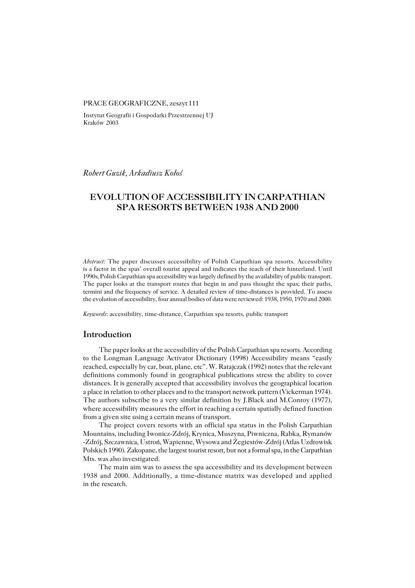#### PRACE GEOGRAFICZNE, zeszyt 111

Instytut Geografii i Gospodarki Przestrzennej UJ Kraków 2003

*Robert Guzik, Arkadiusz Kołoś*

# **EVOLUTION OF ACCESSIBILITY IN CARPATHIAN SPA RESORTS BETWEEN 1938 AND 2000**

*Abstract:* The paper discusses accessibility of Polish Carpathian spa resorts. Accessibility is a factor in the spas' overall tourist appeal and indicates the reach of their hinterland. Until 1990s, Polish Carpathian spa accessibility was largely defined by the availability of public transport. The paper looks at the transport routes that begin in and pass thought the spas; their paths, termini and the frequency of service. A detailed review of time-distances is provided. To assess the evolution of accessibility, four annual bodies of data were reviewed: 1938, 1950, 1970 and 2000.

*Keywords*: accessibility, time−distance, Carpathian spa resorts, public transport

## **Introduction**

The paper looks at the accessibility of the Polish Carpathian spa resorts. According to the Longman Language Activator Dictionary (1998) Accessibility means "easily reached, especially by car, boat, plane, etc". W. Ratajczak (1992) notes that the relevant definitions commonly found in geographical publications stress the ability to cover distances. It is generally accepted that accessibility involves the geographical location a place in relation to other places and to the transport network pattern (Vickerman 1974). The authors subscribe to a very similar definition by J.Black and M.Conroy (1977), where accessibility measures the effort in reaching a certain spatially defined function from a given site using a certain means of transport.

The project covers resorts with an official spa status in the Polish Carpathian Mountains, including Iwonicz−Zdrój, Krynica, Muszyna, Piwniczna, Rabka, Rymanów −Zdrój, Szczawnica, Ustroń, Wapienne, Wysowa and Żegiestów−Zdrój (Atlas Uzdrowisk Polskich 1990). Zakopane, the largest tourist resort, but not a formal spa, in the Carpathian Mts. was also investigated.

The main aim was to assess the spa accessibility and its development between 1938 and 2000. Additionally, a time−distance matrix was developed and applied in the research.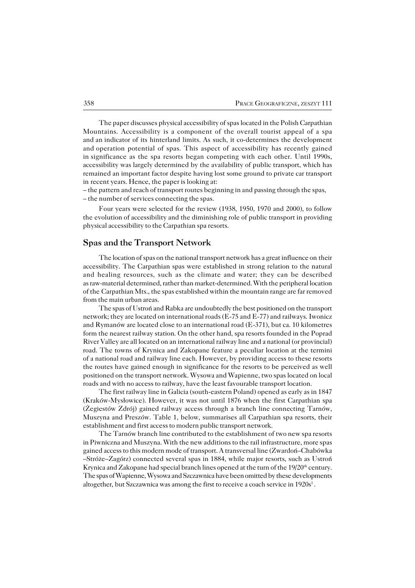The paper discusses physical accessibility of spas located in the Polish Carpathian Mountains. Accessibility is a component of the overall tourist appeal of a spa andanindicator of its hinterland limits. As such, it co−determines the development and operation potential of spas. This aspect of accessibility has recently gained in significance as the spa resorts began competing with each other. Until 1990s, accessibility was largely determined by the availability of public transport, which has remained an important factor despite having lost some ground to private car transport in recent years. Hence, the paper is looking at:

– the pattern and reach of transport routes beginning in and passing through the spas, – the number of services connecting the spas.

Four years were selected for the review (1938, 1950, 1970 and 2000), to follow the evolution of accessibility and the diminishing role of public transport in providing physical accessibility to the Carpathian spa resorts.

### **Spas and the Transport Network**

The location of spas on the national transport network has a great influence ontheir accessibility. The Carpathian spas were established in strong relation to the natural and healing resources, such as the climate and water; they can be described as raw−material determined, rather than market−determined. With the peripheral location of theCarpathian Mts., the spas established within the mountain range are far removed from the main urban areas.

The spas of Ustroń and Rabka are undoubtedly the best positioned on the transport network; they are located on international roads (E−75 and E−77) and railways. Iwonicz and Rymanów are located close to an international road (E−371), but ca. 10 kilometres form the nearest railway station. On the other hand, spa resorts founded in the Poprad River Valley are all located on an international railway line and a national (or provincial) road. The towns of Krynica and Zakopane feature a peculiar location at the termini of a national road and railway line each. However, by providing access to these resorts the routes have gained enough in significance for the resorts to be perceived as well positioned on the transport network. Wysowa and Wapienne, two spas located on local roads and with no access to railway, have the least favourable transport location.

The first railway line in Galicia (south−eastern Poland) opened as early as in 1847 (Kraków−Mysłowice). However, it was not until 1876 when the first Carpathian spa (Żegiestów Zdrój) gained railway access through a branch line connecting Tarnów, Muszyna and Preszów. Table 1, below, summarises all Carpathian spa resorts, their establishment and first access to modern public transport network.

The Tarnów branch line contributed to the establishment of two new spa resorts in Piwniczna and Muszyna. With the new additions to the rail infrastructure, more spas gained access to this modern mode of transport. A transversal line (Zwardoń–Chabówka –Stróże–Zagórz) connected several spas in 1884, while major resorts, such as Ustroń Krynica and Zakopane had special branch lines opened at the turn of the  $19/20<sup>th</sup>$  century. The spas of Wapienne, Wysowa and Szczawnica have been omitted by these developments altogether, but Szczawnica was among the first to receive a coach service in  $1920s<sup>1</sup>$ .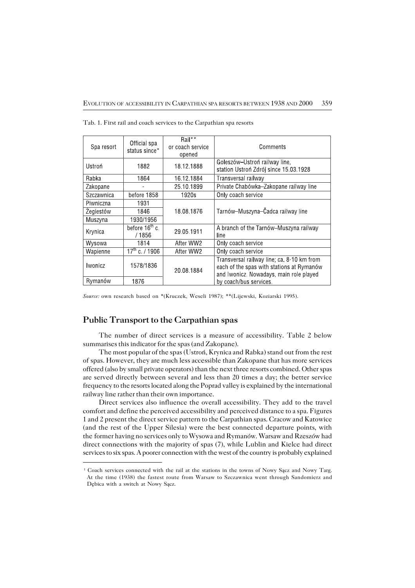| Spa resort | Official spa<br>status since*        | Rail**<br>or coach service<br>opened | Comments                                                                                                                           |  |  |  |
|------------|--------------------------------------|--------------------------------------|------------------------------------------------------------------------------------------------------------------------------------|--|--|--|
| Ustroń     | 1882                                 | 18 12 1888                           | Goleszów-Ustroń railway line,<br>station Ustroń Zdrój since 15.03.1928                                                             |  |  |  |
| Rabka      | 1864                                 | 16.12.1884                           | Transversal railway                                                                                                                |  |  |  |
| Zakopane   | ۰                                    | 25 10 1899                           | Private Chabówka-Zakopane railway line                                                                                             |  |  |  |
| Szczawnica | before 1858                          | 1920s                                | Only coach service                                                                                                                 |  |  |  |
| Piwniczna  | 1931                                 |                                      |                                                                                                                                    |  |  |  |
| Zegiestów  | 1846                                 | 18.08.1876                           | Tarnów-Muszyna-Čadca railway line                                                                                                  |  |  |  |
| Muszyna    | 1930/1956                            |                                      |                                                                                                                                    |  |  |  |
| Krynica    | before $16^{\text{th}}$ c.<br>/ 1856 | 29.05.1911                           | A branch of the Tarnów–Muszyna railway<br>line                                                                                     |  |  |  |
| Wysowa     | 1814                                 | After WW2                            | Only coach service                                                                                                                 |  |  |  |
| Wapienne   | $17^{\text{th}}$ c. / 1906           | After WW2                            | Only coach service                                                                                                                 |  |  |  |
| Iwonicz    | 1578/1836                            | 20.08.1884                           | Transversal railway line; ca. 8-10 km from<br>each of the spas with stations at Rymanów<br>and Iwonicz. Nowadays, main role played |  |  |  |
| Rymanów    | 1876                                 |                                      | by coach/bus services.                                                                                                             |  |  |  |

Tab. 1. First rail and coach services to the Carpathian spa resorts

*Source:* own research based on \*(Kruczek, Weseli 1987); \*\*(Lijewski, Koziarski 1995).

### **Public Transport to the Carpathian spas**

The number of direct services is a measure of accessibility. Table 2 below summarises this indicator for the spas (and Zakopane).

The most popular of the spas (Ustroń, Krynica and Rabka) stand out from the rest of spas. However, they are much less accessible than Zakopane that has more services offered (also by small private operators) than the next three resorts combined. Other spas are served directly between several and less than 20 times a day; the better service frequency to the resorts located along the Poprad valley is explained by the international railway line rather than their own importance.

Direct services also influence the overall accessibility. They add to the travel comfort and define the perceived accessibility and perceived distance to a spa. Figures 1 and 2 present the direct service pattern to the Carpathian spas. Cracow and Katowice (and the rest of the Upper Silesia) were the best connected departure points, with the former having no services only to Wysowa and Rymanów. Warsaw and Rzeszów had direct connections with the majority of spas (7), while Lublin and Kielce had direct services to six spas. A poorer connection with the west of the country is probably explained

<sup>1</sup> Coach services connected with the rail at the stations in the towns of Nowy Sącz and Nowy Targ. At the time (1938) the fastest route from Warsaw to Szczawnica went through Sandomierz and Dębica with a switch at Nowy Sącz.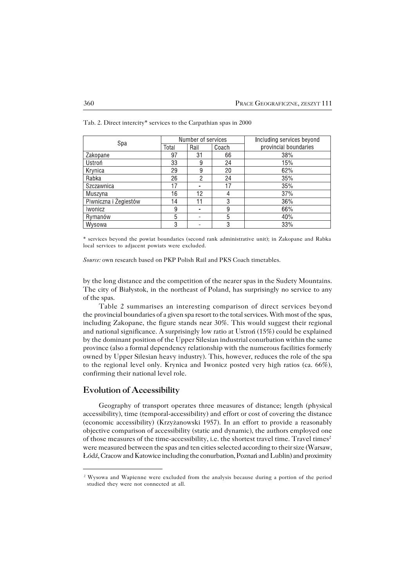| Spa                   | Number of services |                |       | Including services beyond |
|-----------------------|--------------------|----------------|-------|---------------------------|
|                       | Total              | Rail           | Coach | provincial boundaries     |
| Zakopane              | 97                 | 31             | 66    | 38%                       |
| Ustroń                | 33                 | 9              | 24    | 15%                       |
| Krynica               | 29                 | 9              | 20    | 62%                       |
| Rabka                 | 26                 | 2              | 24    | 35%                       |
| Szczawnica            | 17                 | $\blacksquare$ | 17    | 35%                       |
| Muszyna               | 16                 | 12             |       | 37%                       |
| Piwniczna i Żegiestów | 14                 | 11             | 3     | 36%                       |
| <b>wonicz</b>         | 9                  | ۰              | 9     | 66%                       |
| Rymanów               | 5                  | ۰              | 5     | 40%                       |
| Wysowa                | 3                  | $\blacksquare$ | 3     | 33%                       |

Tab. 2. Direct intercity\* services to the Carpathian spas in 2000

\* services beyond the powiat boundaries (second rank administrative unit); in Zakopane and Rabka local services to adjacent powiats were excluded.

*Source:* own research based on PKP Polish Rail and PKS Coach timetables.

by the long distance and the competition of the nearer spas in the Sudety Mountains. The city of Białystok, in the northeast of Poland, has surprisingly no service to any of the spas.

Table 2 summarises an interesting comparison of direct services beyond the provincial boundaries of a given spa resort to the total services. With most of the spas, including Zakopane, the figure stands near 30%. This would suggest their regional and national significance. A surprisingly low ratio at Ustroń (15%) could be explained by the dominant position of the Upper Silesian industrial conurbation within the same province (also a formal dependency relationship with the numerous facilities formerly owned by Upper Silesian heavy industry). This, however, reduces the role of the spa to the regional level only. Krynica and Iwonicz posted very high ratios (ca. 66%), confirming their national level role.

### **Evolution of Accessibility**

Geography of transport operates three measures of distance; length (physical accessibility), time (temporal−accessibility) and effort or cost of covering the distance (economic accessibility) (Krzyżanowski 1957). In an effort to provide a reasonably objective comparison of accessibility (static and dynamic), the authors employed one of those measures of the time-accessibility, i.e. the shortest travel time. Travel times<sup>2</sup> were measured between the spas and ten cities selected according to their size (Warsaw, Łódź, Cracow and Katowice including the conurbation, Poznań and Lublin) and proximity

<sup>&</sup>lt;sup>2</sup> Wysowa and Wapienne were excluded from the analysis because during a portion of the period studied they were not connected at all.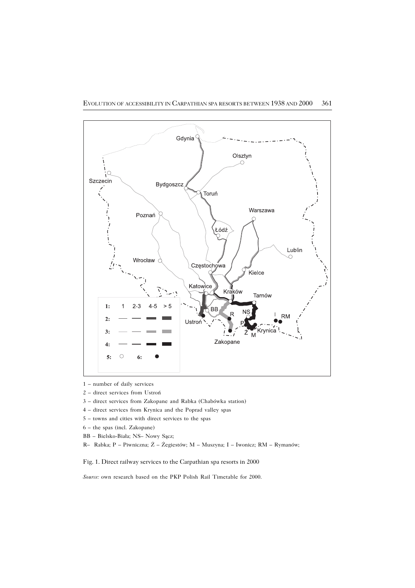

- 1 number of daily services
- 2 direct services from Ustroń
- 3 direct services from Zakopane and Rabka (Chabówka station)
- 4 direct services from Krynica and the Poprad valley spas
- 5 towns and cities with direct services to the spas
- 6 the spas (incl. Zakopane)
- BB Bielsko−Biała; NS– Nowy Sącz;
- R– Rabka; P Piwniczna; Ż Żegiestów; M Muszyna; I Iwonicz; RM Rymanów;

Fig. 1. Direct railway services to the Carpathian spa resorts in 2000

*Source:* own research based on the PKP Polish Rail Timetable for 2000.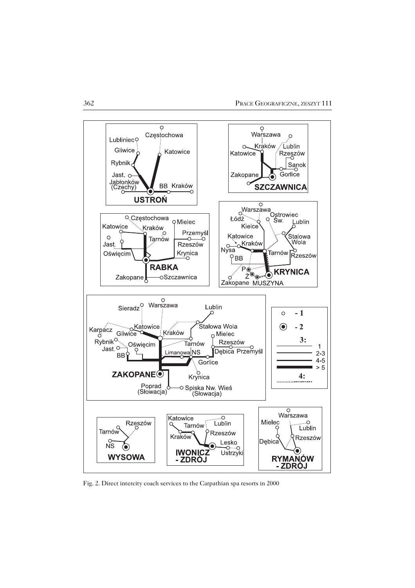

Fig. 2. Direct intercity coach services to the Carpathian spa resorts in 2000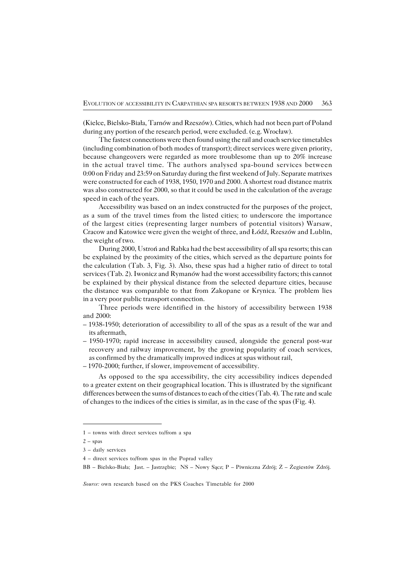(Kielce, Bielsko−Biała, Tarnów and Rzeszów). Cities, which had not been part of Poland during any portion of the research period, were excluded. (e.g. Wrocław).

The fastest connections were then found using the rail and coach service timetables (including combination of both modes of transport); direct services were given priority, because changeovers were regarded as more troublesome than up to 20% increase in the actual travel time. The authors analysed spa-bound services between 0:00 on Friday and 23:59 on Saturday during the first weekend of July. Separate matrixes were constructed for each of 1938, 1950, 1970 and 2000. A shortest road distance matrix was also constructed for 2000, so that it could be used in the calculation of the average speed in each of the years.

Accessibility was based on an index constructed for the purposes of the project, as a sum of the travel times from the listed cities; to underscore the importance of the largest cities (representing larger numbers of potential visitors) Warsaw, Cracow and Katowice were given the weight of three, and Łódź, Rzeszów and Lublin, the weight of two.

During 2000, Ustroń and Rabka had the best accessibility of all spa resorts; this can be explained by the proximity of the cities, which served as the departure points for thecalculation (Tab. 3, Fig. 3). Also, these spas had a higher ratio of direct to total services (Tab. 2). Iwonicz and Rymanów had the worst accessibility factors; this cannot be explained by their physical distance from the selected departure cities, because the distance was comparable to that from Zakopane or Krynica. The problem lies in a very poor public transport connection.

Three periods were identified in the history of accessibility between 1938 and 2000:

- 1938−1950; deterioration of accessibility to all of the spas as a result of the war and its aftermath,
- 1950−1970; rapid increase in accessibility caused, alongside the general post−war recovery and railway improvement, by the growing popularity of coach services, as confirmed by the dramatically improved indices at spas without rail,
- 1970−2000; further, if slower, improvement of accessibility.

As opposed to the spa accessibility, the city accessibility indices depended to a greater extent on their geographical location. This is illustrated by the significant differences between the sums of distances to each of the cities (Tab. 4). The rate and scale of changes to the indices of the cities is similar, as in the case of the spas (Fig. 4).

<sup>1 –</sup> towns with direct services to/from a spa

 $2 - spas$ 

<sup>3 –</sup> daily services

<sup>4 –</sup> direct services to/from spas in the Poprad valley

BB – Bielsko−Biała; Jast. – Jastrzębie; NS – Nowy Sącz; P – Piwniczna Zdrój; Ż – Żegiestów Zdrój.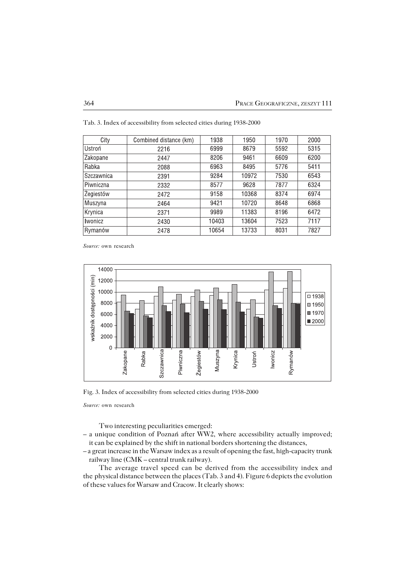| City              | Combined distance (km) | 1938  | 1950  | 1970 | 2000 |
|-------------------|------------------------|-------|-------|------|------|
| Ustroń            | 2216                   | 6999  | 8679  | 5592 | 5315 |
| Zakopane          | 2447                   | 8206  | 9461  | 6609 | 6200 |
| Rabka             | 2088                   | 6963  | 8495  | 5776 | 5411 |
| <b>Szczawnica</b> | 2391                   | 9284  | 10972 | 7530 | 6543 |
| Piwniczna         | 2332                   | 8577  | 9628  | 7877 | 6324 |
| Zegiestów         | 2472                   | 9158  | 10368 | 8374 | 6974 |
| Muszyna           | 2464                   | 9421  | 10720 | 8648 | 6868 |
| Krynica           | 2371                   | 9989  | 11383 | 8196 | 6472 |
| <b>Iwonicz</b>    | 2430                   | 10403 | 13604 | 7523 | 7117 |
| Rymanów           | 2478                   | 10654 | 13733 | 8031 | 7827 |

Tab. 3. Index of accessibility from selected cities during 1938−2000

*Source:* own research



Fig. 3. Index of accessibility from selected cities during 1938−2000

*Source:* own research

Two interesting peculiarities emerged:

- a unique condition of Poznań after WW2, where accessibility actually improved; it can be explained by the shift in national borders shortening the distances,
- a great increase in the Warsaw index as a result of opening the fast, high−capacity trunk railway line (CMK – central trunk railway).

The average travel speed can be derived from the accessibility index and the physical distance between the places (Tab. 3 and 4). Figure 6 depicts the evolution of these values for Warsaw and Cracow. It clearly shows: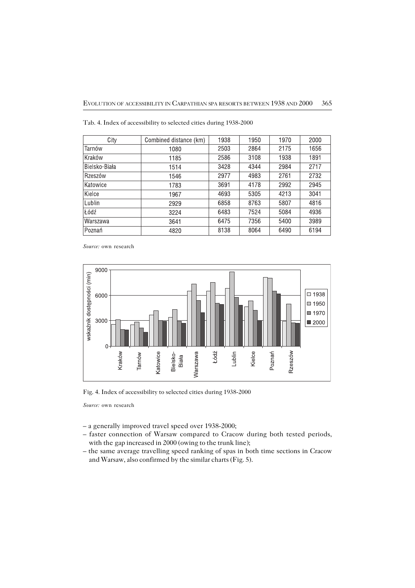| City          | Combined distance (km) | 1938 | 1950 | 1970 | 2000 |
|---------------|------------------------|------|------|------|------|
| Tarnów        | 1080                   | 2503 | 2864 | 2175 | 1656 |
| l Kraków      | 1185                   | 2586 | 3108 | 1938 | 1891 |
| Bielsko-Biała | 1514                   | 3428 | 4344 | 2984 | 2717 |
| Rzeszów       | 1546                   | 2977 | 4983 | 2761 | 2732 |
| Katowice      | 1783                   | 3691 | 4178 | 2992 | 2945 |
| Kielce        | 1967                   | 4693 | 5305 | 4213 | 3041 |
| Lublin        | 2929                   | 6858 | 8763 | 5807 | 4816 |
| Lódź          | 3224                   | 6483 | 7524 | 5084 | 4936 |
| Warszawa      | 3641                   | 6475 | 7356 | 5400 | 3989 |
| Poznań        | 4820                   | 8138 | 8064 | 6490 | 6194 |

Tab. 4. Index of accessibility to selected cities during 1938−2000

*Source:* own research



Fig. 4. Index of accessibility to selected cities during 1938−2000

*Source:* own research

- a generally improved travel speed over 1938−2000;
- faster connection of Warsaw compared to Cracow during both tested periods, with the gap increased in 2000 (owing to the trunk line);
- the same average travelling speed ranking of spas in both time sections in Cracow and Warsaw, also confirmed by the similar charts (Fig. 5).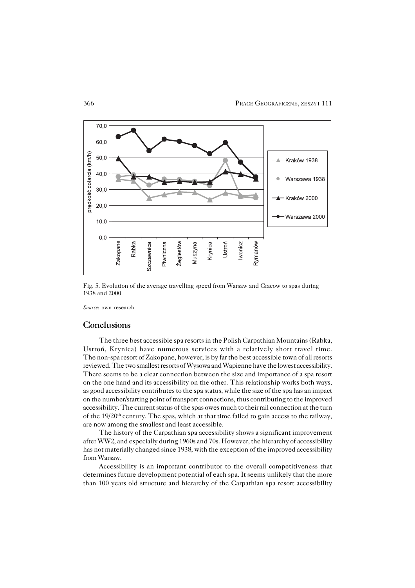

Fig. 5. Evolution of the average travelling speed from Warsaw and Cracow to spas during 1938 and 2000

*Source*: own research

### **Conclusions**

The three best accessible spa resorts in the Polish Carpathian Mountains (Rabka, Ustroń, Krynica) have numerous services with a relatively short travel time. The non−spa resort of Zakopane, however, is by far the best accessible town of all resorts reviewed. The two smallest resorts of Wysowa and Wapienne have the lowest accessibility. There seems to be a clear connection between the size and importance of a spa resort on the one hand and its accessibility on the other. This relationship works both ways, as good accessibility contributes to the spa status, while the size of the spa has an impact on the number/starting point of transport connections, thus contributing to the improved accessibility. The current status of the spas owes much to their rail connection at the turn of the 19/20<sup>th</sup> century. The spas, which at that time failed to gain access to the railway, are now among the smallest and least accessible.

The history of the Carpathian spa accessibility shows a significant improvement after WW2, and especially during 1960s and 70s. However, the hierarchy of accessibility has not materially changed since 1938, with the exception of the improved accessibility from Warsaw.

Accessibility is an important contributor to the overall competitiveness that determines future development potential of each spa. It seems unlikely that the more than 100 years old structure and hierarchy of the Carpathian spa resort accessibility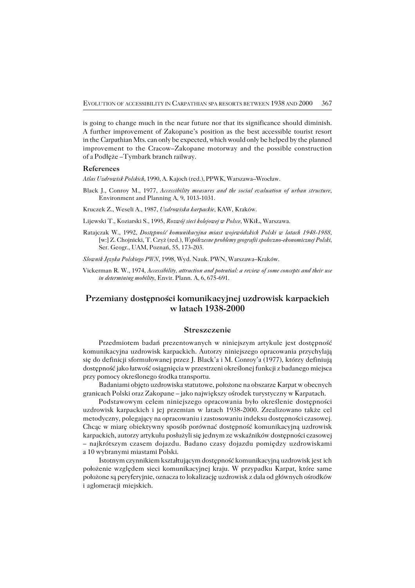is going to change much in the near future nor that its significance should diminish. A further improvement of Zakopane's position as the best accessible tourist resort in theCarpathian Mts. can only be expected, which would only be helped by the planned improvement to the Cracow–Zakopane motorway and the possible construction of a Podłęże –Tymbark branch railway.

#### **References**

*Atlas Uzdrowisk Polskich*, 1990, A. Kajoch (red.), PPWK, Warszawa–Wrocław.

- Black J., Conroy M., 1977, *Accessibility measures and the social evaluation of urban structure*, Environment and Planning A, 9, 1013−1031.
- Kruczek Z., Weseli A., 1987, *Uzdrowiska karpackie*, KAW, Kraków.
- Lijewski T., Koziarski S., 1995, *Rozwój sieci kolejowej w Polsce*, WKiŁ, Warszawa.
- Ratajczak W., 1992, *Dostępność komunikacyjna miast wojewódzkich Polski w latach 1948−1988,* [w:] Z. Chojnicki, T. Czyż (red.), *Współczesne problemy geografii społeczno−ekonomicznej Polski*, Ser. Geogr., UAM, Poznań, 55, 173−203.

*Slownik Języka Polskiego PWN*, 1998, Wyd. Nauk. PWN, Warszawa–Kraków.

Vickerman R. W., 1974, *Accessibility, attraction and potential: a review of some concepts and their use in determining mobility*, Envir. Plann. A, 6, 675−691.

## **Przemiany dostępności komunikacyjnej uzdrowisk karpackich w latach 1938−2000**

#### **Streszczenie**

Przedmiotem badań prezentowanych w niniejszym artykule jest dostępność komunikacyjna uzdrowisk karpackich. Autorzy niniejszego opracowania przychylają się do definicji sformułowanej przez J. Black'a i M. Conroy'a (1977), którzy definiują dostępność jako łatwość osiągnięcia w przestrzeni określonej funkcji z badanego miejsca przy pomocy określonego środka transportu.

Badaniami objęto uzdrowiska statutowe, położone na obszarze Karpat w obecnych granicach Polski oraz Zakopane – jako największy ośrodek turystyczny w Karpatach.

Podstawowym celem niniejszego opracowania było określenie dostępności uzdrowisk karpackich i jej przemian w latach 1938−2000. Zrealizowano także cel metodyczny, polegający na opracowaniu i zastosowaniu indeksu dostępności czasowej. Chcąc w miarę obiektywny sposób porównać dostępność komunikacyjną uzdrowisk karpackich, autorzy artykułu posłużyli się jednym ze wskaźników dostępności czasowej – najkrótszym czasem dojazdu. Badano czasy dojazdu pomiędzy uzdrowiskami a 10 wybranymi miastami Polski.

Istotnym czynnikiem kształtującym dostępność komunikacyjną uzdrowisk jestich położenie względem sieci komunikacyjnej kraju. W przypadku Karpat, które same położone są peryferyjnie, oznacza to lokalizację uzdrowisk z dala od głównych ośrodków i aglomeracji miejskich.